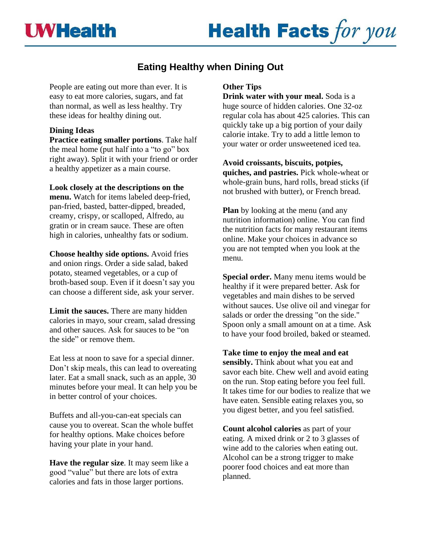

# **Health Facts for you**

## **Eating Healthy when Dining Out**

People are eating out more than ever. It is easy to eat more calories, sugars, and fat than normal, as well as less healthy. Try these ideas for healthy dining out.

#### **Dining Ideas**

**Practice eating smaller portions**. Take half the meal home (put half into a "to go" box right away). Split it with your friend or order a healthy appetizer as a main course.

**Look closely at the descriptions on the menu.** Watch for items labeled deep-fried, pan-fried, basted, batter-dipped, breaded, creamy, crispy, or scalloped, Alfredo, au gratin or in cream sauce. These are often high in calories, unhealthy fats or sodium.

**Choose healthy side options.** Avoid fries and onion rings. Order a side salad, baked potato, steamed vegetables, or a cup of broth-based soup. Even if it doesn't say you can choose a different side, ask your server.

**Limit the sauces.** There are many hidden calories in mayo, sour cream, salad dressing and other sauces. Ask for sauces to be "on the side" or remove them.

Eat less at noon to save for a special dinner. Don't skip meals, this can lead to overeating later. Eat a small snack, such as an apple, 30 minutes before your meal. It can help you be in better control of your choices.

Buffets and all-you-can-eat specials can cause you to overeat. Scan the whole buffet for healthy options. Make choices before having your plate in your hand.

**Have the regular size**. It may seem like a good "value" but there are lots of extra calories and fats in those larger portions.

#### **Other Tips**

**Drink water with your meal.** Soda is a huge source of hidden calories. One 32-oz regular cola has about 425 calories. This can quickly take up a big portion of your daily calorie intake. Try to add a little lemon to your water or order unsweetened iced tea.

**Avoid croissants, biscuits, potpies, quiches, and pastries.** Pick whole-wheat or whole-grain buns, hard rolls, bread sticks (if not brushed with butter), or French bread.

**Plan** by looking at the menu (and any nutrition information) online. You can find the nutrition facts for many restaurant items online. Make your choices in advance so you are not tempted when you look at the menu.

**Special order.** Many menu items would be healthy if it were prepared better. Ask for vegetables and main dishes to be served without sauces. Use olive oil and vinegar for salads or order the dressing "on the side." Spoon only a small amount on at a time. Ask to have your food broiled, baked or steamed.

**Take time to enjoy the meal and eat sensibly.** Think about what you eat and savor each bite. Chew well and avoid eating on the run. Stop eating before you feel full. It takes time for our bodies to realize that we have eaten. Sensible eating relaxes you, so you digest better, and you feel satisfied.

**Count alcohol calories** as part of your eating. A mixed drink or 2 to 3 glasses of wine add to the calories when eating out. Alcohol can be a strong trigger to make poorer food choices and eat more than planned.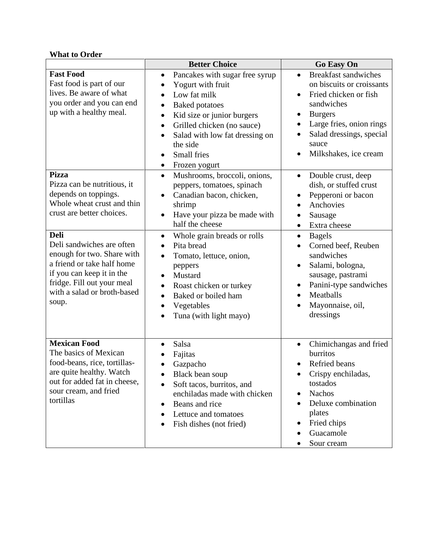### **What to Order**

|                                                                                                                                                                                                         | <b>Better Choice</b>                                                                                                                                                                                                                                                                                 | <b>Go Easy On</b>                                                                                                                                                                                                                     |
|---------------------------------------------------------------------------------------------------------------------------------------------------------------------------------------------------------|------------------------------------------------------------------------------------------------------------------------------------------------------------------------------------------------------------------------------------------------------------------------------------------------------|---------------------------------------------------------------------------------------------------------------------------------------------------------------------------------------------------------------------------------------|
| <b>Fast Food</b><br>Fast food is part of our<br>lives. Be aware of what<br>you order and you can end<br>up with a healthy meal.                                                                         | Pancakes with sugar free syrup<br>$\bullet$<br>Yogurt with fruit<br>Low fat milk<br>$\bullet$<br><b>Baked potatoes</b><br>Kid size or junior burgers<br>$\bullet$<br>Grilled chicken (no sauce)<br>٠<br>Salad with low fat dressing on<br>$\bullet$<br>the side<br>Small fries<br>Frozen yogurt<br>٠ | <b>Breakfast sandwiches</b><br>$\bullet$<br>on biscuits or croissants<br>Fried chicken or fish<br>$\bullet$<br>sandwiches<br><b>Burgers</b><br>Large fries, onion rings<br>Salad dressings, special<br>sauce<br>Milkshakes, ice cream |
| <b>Pizza</b><br>Pizza can be nutritious, it<br>depends on toppings.<br>Whole wheat crust and thin<br>crust are better choices.                                                                          | Mushrooms, broccoli, onions,<br>$\bullet$<br>peppers, tomatoes, spinach<br>Canadian bacon, chicken,<br>shrimp<br>Have your pizza be made with<br>$\bullet$<br>half the cheese                                                                                                                        | Double crust, deep<br>$\bullet$<br>dish, or stuffed crust<br>Pepperoni or bacon<br>Anchovies<br>Sausage<br>Extra cheese<br>$\bullet$                                                                                                  |
| <b>Deli</b><br>Deli sandwiches are often<br>enough for two. Share with<br>a friend or take half home<br>if you can keep it in the<br>fridge. Fill out your meal<br>with a salad or broth-based<br>soup. | Whole grain breads or rolls<br>$\bullet$<br>Pita bread<br>Tomato, lettuce, onion,<br>$\bullet$<br>peppers<br>Mustard<br>$\bullet$<br>Roast chicken or turkey<br>$\bullet$<br>Baked or boiled ham<br>$\bullet$<br>Vegetables<br>Tuna (with light mayo)                                                | <b>Bagels</b><br>$\bullet$<br>Corned beef, Reuben<br>sandwiches<br>Salami, bologna,<br>$\bullet$<br>sausage, pastrami<br>Panini-type sandwiches<br>Meatballs<br>Mayonnaise, oil,<br>dressings                                         |
| <b>Mexican Food</b><br>The basics of Mexican<br>food-beans, rice, tortillas-<br>are quite healthy. Watch<br>out for added fat in cheese,<br>sour cream, and fried<br>tortillas                          | Salsa<br>Fajitas<br>Gazpacho<br>Black bean soup<br>$\bullet$<br>Soft tacos, burritos, and<br>$\bullet$<br>enchiladas made with chicken<br>Beans and rice<br>$\bullet$<br>Lettuce and tomatoes<br>Fish dishes (not fried)                                                                             | Chimichangas and fried<br>burritos<br>Refried beans<br>Crispy enchiladas,<br>$\bullet$<br>tostados<br><b>Nachos</b><br>Deluxe combination<br>plates<br>Fried chips<br>$\bullet$<br>Guacamole<br>Sour cream                            |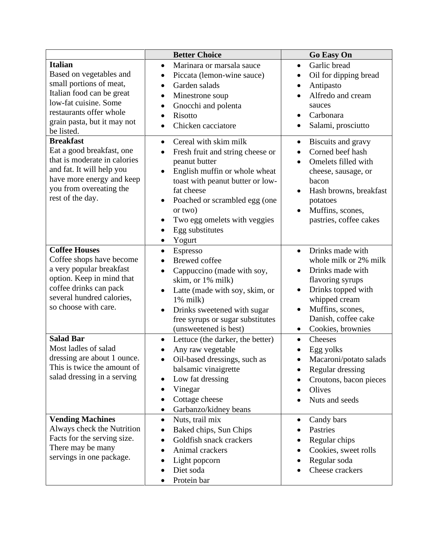|                                                                                                                                                                                                    | <b>Better Choice</b>                                                                                                                                                                                                                                                                                          | <b>Go Easy On</b>                                                                                                                                                                                                               |
|----------------------------------------------------------------------------------------------------------------------------------------------------------------------------------------------------|---------------------------------------------------------------------------------------------------------------------------------------------------------------------------------------------------------------------------------------------------------------------------------------------------------------|---------------------------------------------------------------------------------------------------------------------------------------------------------------------------------------------------------------------------------|
| <b>Italian</b><br>Based on vegetables and<br>small portions of meat,<br>Italian food can be great<br>low-fat cuisine. Some<br>restaurants offer whole<br>grain pasta, but it may not<br>be listed. | Marinara or marsala sauce<br>$\bullet$<br>Piccata (lemon-wine sauce)<br>$\bullet$<br>Garden salads<br>$\bullet$<br>Minestrone soup<br>Gnocchi and polenta<br>$\bullet$<br>Risotto<br>Chicken cacciatore<br>$\bullet$                                                                                          | Garlic bread<br>$\bullet$<br>Oil for dipping bread<br>$\bullet$<br>Antipasto<br>$\bullet$<br>Alfredo and cream<br>sauces<br>Carbonara<br>Salami, prosciutto                                                                     |
| <b>Breakfast</b><br>Eat a good breakfast, one<br>that is moderate in calories<br>and fat. It will help you<br>have more energy and keep<br>you from overeating the<br>rest of the day.             | Cereal with skim milk<br>$\bullet$<br>Fresh fruit and string cheese or<br>$\bullet$<br>peanut butter<br>English muffin or whole wheat<br>toast with peanut butter or low-<br>fat cheese<br>Poached or scrambled egg (one<br>$\bullet$<br>or two)<br>Two egg omelets with veggies<br>Egg substitutes<br>Yogurt | Biscuits and gravy<br>$\bullet$<br>Corned beef hash<br>$\bullet$<br>Omelets filled with<br>cheese, sausage, or<br>bacon<br>Hash browns, breakfast<br>$\bullet$<br>potatoes<br>Muffins, scones,<br>pastries, coffee cakes        |
| <b>Coffee Houses</b><br>Coffee shops have become<br>a very popular breakfast<br>option. Keep in mind that<br>coffee drinks can pack<br>several hundred calories,<br>so choose with care.           | Espresso<br>$\bullet$<br><b>Brewed</b> coffee<br>Cappuccino (made with soy,<br>$\bullet$<br>skim, or 1% milk)<br>Latte (made with soy, skim, or<br>$1\%$ milk)<br>Drinks sweetened with sugar<br>free syrups or sugar substitutes<br>(unsweetened is best)                                                    | Drinks made with<br>$\bullet$<br>whole milk or 2% milk<br>Drinks made with<br>flavoring syrups<br>Drinks topped with<br>$\bullet$<br>whipped cream<br>Muffins, scones,<br>Danish, coffee cake<br>Cookies, brownies<br>$\bullet$ |
| <b>Salad Bar</b><br>Most ladles of salad<br>dressing are about 1 ounce.<br>This is twice the amount of<br>salad dressing in a serving                                                              | Lettuce (the darker, the better)<br>Any raw vegetable<br>Oil-based dressings, such as<br>balsamic vinaigrette<br>Low fat dressing<br>Vinegar<br>Cottage cheese<br>Garbanzo/kidney beans                                                                                                                       | Cheeses<br>$\bullet$<br>Egg yolks<br>$\bullet$<br>Macaroni/potato salads<br>Regular dressing<br>Croutons, bacon pieces<br>Olives<br>Nuts and seeds                                                                              |
| <b>Vending Machines</b><br>Always check the Nutrition<br>Facts for the serving size.<br>There may be many<br>servings in one package.                                                              | Nuts, trail mix<br>$\bullet$<br>Baked chips, Sun Chips<br>Goldfish snack crackers<br>Animal crackers<br>Light popcorn<br>$\bullet$<br>Diet soda<br>Protein bar                                                                                                                                                | Candy bars<br>$\bullet$<br>Pastries<br>Regular chips<br>Cookies, sweet rolls<br>Regular soda<br>Cheese crackers                                                                                                                 |